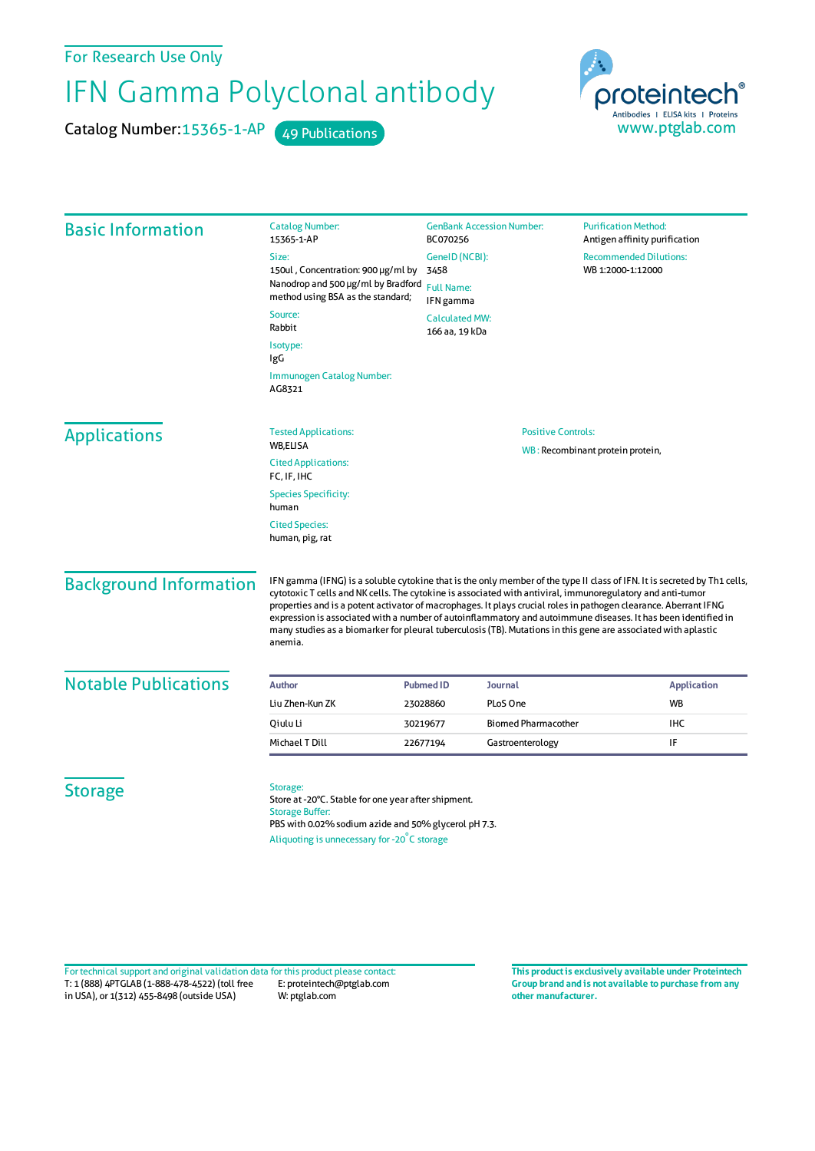For Research Use Only

## IFN Gamma Polyclonal antibody

Catalog Number: 15365-1-AP 49 Publications



| <b>Basic Information</b>      | <b>Catalog Number:</b><br>15365-1-AP                                                                                                                                                                                                                                                                                                                                                                                                                                                                                                                                                                     | <b>GenBank Accession Number:</b><br>BC070256<br>GenelD (NCBI):<br>3458<br><b>Full Name:</b><br>IFN gamma |                            | <b>Purification Method:</b><br>Antigen affinity purification<br><b>Recommended Dilutions:</b><br>WB 1:2000-1:12000 |                         |  |
|-------------------------------|----------------------------------------------------------------------------------------------------------------------------------------------------------------------------------------------------------------------------------------------------------------------------------------------------------------------------------------------------------------------------------------------------------------------------------------------------------------------------------------------------------------------------------------------------------------------------------------------------------|----------------------------------------------------------------------------------------------------------|----------------------------|--------------------------------------------------------------------------------------------------------------------|-------------------------|--|
|                               | Size:                                                                                                                                                                                                                                                                                                                                                                                                                                                                                                                                                                                                    |                                                                                                          |                            |                                                                                                                    |                         |  |
|                               | 150ul, Concentration: 900 µg/ml by                                                                                                                                                                                                                                                                                                                                                                                                                                                                                                                                                                       |                                                                                                          |                            |                                                                                                                    |                         |  |
|                               | Nanodrop and 500 µg/ml by Bradford<br>method using BSA as the standard;                                                                                                                                                                                                                                                                                                                                                                                                                                                                                                                                  |                                                                                                          |                            |                                                                                                                    |                         |  |
|                               | Source:<br><b>Calculated MW:</b><br>Rabbit<br>166 aa, 19 kDa                                                                                                                                                                                                                                                                                                                                                                                                                                                                                                                                             |                                                                                                          |                            |                                                                                                                    |                         |  |
|                               | Isotype:<br>IgG                                                                                                                                                                                                                                                                                                                                                                                                                                                                                                                                                                                          |                                                                                                          |                            |                                                                                                                    |                         |  |
|                               | Immunogen Catalog Number:<br>AG8321                                                                                                                                                                                                                                                                                                                                                                                                                                                                                                                                                                      |                                                                                                          |                            |                                                                                                                    |                         |  |
| <b>Applications</b>           | <b>Tested Applications:</b>                                                                                                                                                                                                                                                                                                                                                                                                                                                                                                                                                                              | <b>Positive Controls:</b><br>WB: Recombinant protein protein,                                            |                            |                                                                                                                    |                         |  |
|                               | WB,ELISA                                                                                                                                                                                                                                                                                                                                                                                                                                                                                                                                                                                                 |                                                                                                          |                            |                                                                                                                    |                         |  |
|                               | <b>Cited Applications:</b><br>FC, IF, IHC                                                                                                                                                                                                                                                                                                                                                                                                                                                                                                                                                                |                                                                                                          |                            |                                                                                                                    |                         |  |
|                               | <b>Species Specificity:</b><br>human                                                                                                                                                                                                                                                                                                                                                                                                                                                                                                                                                                     |                                                                                                          |                            |                                                                                                                    |                         |  |
|                               | <b>Cited Species:</b><br>human, pig, rat                                                                                                                                                                                                                                                                                                                                                                                                                                                                                                                                                                 |                                                                                                          |                            |                                                                                                                    |                         |  |
| <b>Background Information</b> | IFN gamma (IFNG) is a soluble cytokine that is the only member of the type II class of IFN. It is secreted by Th1 cells,<br>cytotoxic T cells and NK cells. The cytokine is associated with antiviral, immunoregulatory and anti-tumor<br>properties and is a potent activator of macrophages. It plays crucial roles in pathogen clearance. Aberrant IFNG<br>expression is associated with a number of autoinflammatory and autoimmune diseases. It has been identified in<br>many studies as a biomarker for pleural tuberculosis (TB). Mutations in this gene are associated with aplastic<br>anemia. |                                                                                                          |                            |                                                                                                                    |                         |  |
| <b>Notable Publications</b>   |                                                                                                                                                                                                                                                                                                                                                                                                                                                                                                                                                                                                          |                                                                                                          |                            |                                                                                                                    |                         |  |
|                               | <b>Author</b>                                                                                                                                                                                                                                                                                                                                                                                                                                                                                                                                                                                            | <b>Pubmed ID</b><br>Journal                                                                              |                            |                                                                                                                    | <b>Application</b>      |  |
|                               | Liu Zhen-Kun ZK                                                                                                                                                                                                                                                                                                                                                                                                                                                                                                                                                                                          | PLoS One<br>23028860                                                                                     | <b>Biomed Pharmacother</b> |                                                                                                                    | <b>WB</b><br><b>IHC</b> |  |
|                               | Oiulu Li                                                                                                                                                                                                                                                                                                                                                                                                                                                                                                                                                                                                 | 30219677                                                                                                 |                            |                                                                                                                    |                         |  |
|                               | Michael T Dill                                                                                                                                                                                                                                                                                                                                                                                                                                                                                                                                                                                           | 22677194                                                                                                 | Gastroenterology           |                                                                                                                    | IF                      |  |
| <b>Storage</b>                | Storage:<br>Store at -20°C. Stable for one year after shipment.<br><b>Storage Buffer:</b><br>PBS with 0.02% sodium azide and 50% glycerol pH 7.3.<br>Aliquoting is unnecessary for -20°C storage                                                                                                                                                                                                                                                                                                                                                                                                         |                                                                                                          |                            |                                                                                                                    |                         |  |

T: 1 (888) 4PTGLAB (1-888-478-4522) (toll free in USA), or 1(312) 455-8498 (outside USA) E: proteintech@ptglab.com W: ptglab.com Fortechnical support and original validation data forthis product please contact: **This productis exclusively available under Proteintech**

**Group brand and is not available to purchase from any other manufacturer.**